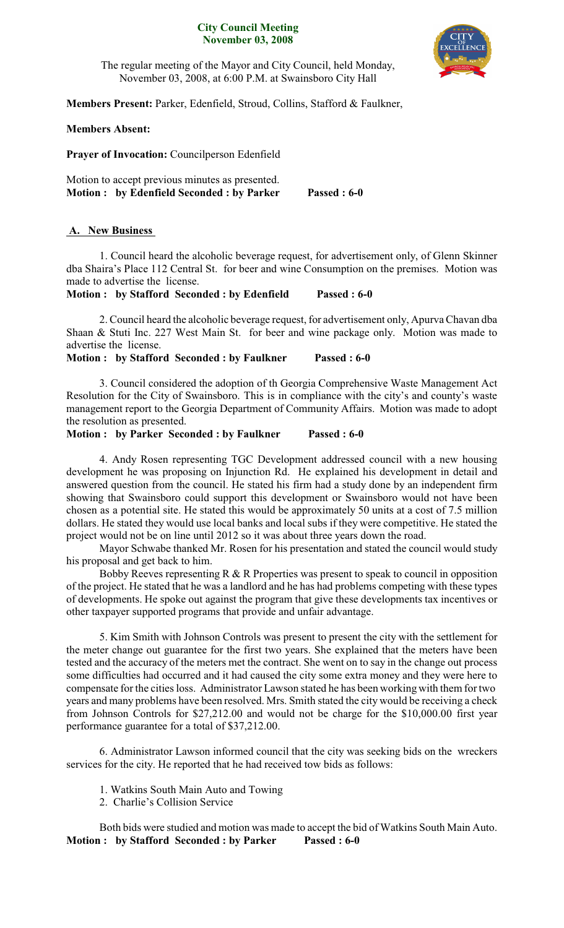### **City Council Meeting November 03, 2008**



The regular meeting of the Mayor and City Council, held Monday, November 03, 2008, at 6:00 P.M. at Swainsboro City Hall

**Members Present:** Parker, Edenfield, Stroud, Collins, Stafford & Faulkner,

## **Members Absent:**

**Prayer of Invocation:** Councilperson Edenfield

Motion to accept previous minutes as presented. **Motion : by Edenfield Seconded : by Parker Passed : 6-0**

# **A. New Business**

1. Council heard the alcoholic beverage request, for advertisement only, of Glenn Skinner dba Shaira's Place 112 Central St. for beer and wine Consumption on the premises. Motion was made to advertise the license.

**Motion : by Stafford Seconded : by Edenfield Passed : 6-0**

2. Council heard the alcoholic beverage request, for advertisement only, ApurvaChavan dba Shaan & Stuti Inc. 227 West Main St. for beer and wine package only. Motion was made to advertise the license.

**Motion : by Stafford Seconded : by Faulkner Passed : 6-0**

3. Council considered the adoption of th Georgia Comprehensive Waste Management Act Resolution for the City of Swainsboro. This is in compliance with the city's and county's waste management report to the Georgia Department of Community Affairs. Motion was made to adopt the resolution as presented.

## **Motion : by Parker Seconded : by Faulkner Passed : 6-0**

4. Andy Rosen representing TGC Development addressed council with a new housing development he was proposing on Injunction Rd. He explained his development in detail and answered question from the council. He stated his firm had a study done by an independent firm showing that Swainsboro could support this development or Swainsboro would not have been chosen as a potential site. He stated this would be approximately 50 units at a cost of 7.5 million dollars. He stated they would use local banks and local subs if they were competitive. He stated the project would not be on line until 2012 so it was about three years down the road.

Mayor Schwabe thanked Mr. Rosen for his presentation and stated the council would study his proposal and get back to him.

Bobby Reeves representing R & R Properties was present to speak to council in opposition of the project. He stated that he was a landlord and he has had problems competing with these types of developments. He spoke out against the program that give these developments tax incentives or other taxpayer supported programs that provide and unfair advantage.

5. Kim Smith with Johnson Controls was present to present the city with the settlement for the meter change out guarantee for the first two years. She explained that the meters have been tested and the accuracy of the meters met the contract. She went on to say in the change out process some difficulties had occurred and it had caused the city some extra money and they were here to compensate for the cities loss. Administrator Lawson stated he has been working with them for two years and many problems have been resolved. Mrs. Smith stated the city would be receiving a check from Johnson Controls for \$27,212.00 and would not be charge for the \$10,000.00 first year performance guarantee for a total of \$37,212.00.

6. Administrator Lawson informed council that the city was seeking bids on the wreckers services for the city. He reported that he had received tow bids as follows:

- 1. Watkins South Main Auto and Towing
- 2. Charlie's Collision Service

Both bids were studied and motion was made to accept the bid of Watkins South Main Auto. **Motion : by Stafford Seconded : by Parker Passed : 6-0**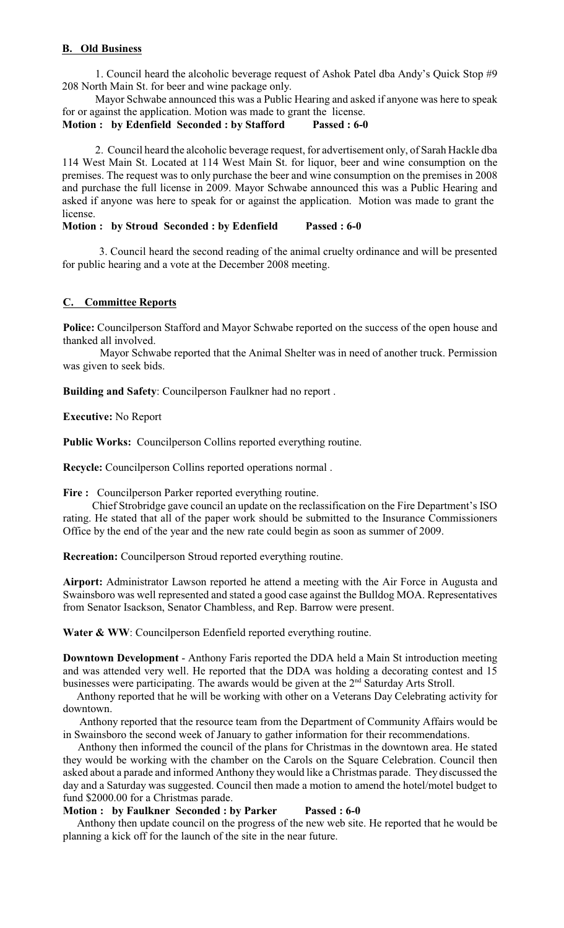## **B. Old Business**

1. Council heard the alcoholic beverage request of Ashok Patel dba Andy's Quick Stop #9 208 North Main St. for beer and wine package only.

Mayor Schwabe announced this was a Public Hearing and asked if anyone was here to speak for or against the application. Motion was made to grant the license.

### **Motion : by Edenfield Seconded : by Stafford Passed : 6-0**

2. Council heard the alcoholic beverage request, for advertisement only, of Sarah Hackle dba 114 West Main St. Located at 114 West Main St. for liquor, beer and wine consumption on the premises. The request was to only purchase the beer and wine consumption on the premises in 2008 and purchase the full license in 2009. Mayor Schwabe announced this was a Public Hearing and asked if anyone was here to speak for or against the application. Motion was made to grant the license.

## **Motion : by Stroud Seconded : by Edenfield Passed : 6-0**

3. Council heard the second reading of the animal cruelty ordinance and will be presented for public hearing and a vote at the December 2008 meeting.

## **C. Committee Reports**

**Police:** Councilperson Stafford and Mayor Schwabe reported on the success of the open house and thanked all involved.

Mayor Schwabe reported that the Animal Shelter was in need of another truck. Permission was given to seek bids.

**Building and Safety**: Councilperson Faulkner had no report .

**Executive:** No Report

**Public Works:** Councilperson Collins reported everything routine.

**Recycle:** Councilperson Collins reported operations normal .

Fire : Councilperson Parker reported everything routine.

Chief Strobridge gave council an update on the reclassification on the Fire Department's ISO rating. He stated that all of the paper work should be submitted to the Insurance Commissioners Office by the end of the year and the new rate could begin as soon as summer of 2009.

**Recreation:** Councilperson Stroud reported everything routine.

**Airport:** Administrator Lawson reported he attend a meeting with the Air Force in Augusta and Swainsboro was well represented and stated a good case against the Bulldog MOA. Representatives from Senator Isackson, Senator Chambless, and Rep. Barrow were present.

Water & WW: Councilperson Edenfield reported everything routine.

**Downtown Development** - Anthony Faris reported the DDA held a Main St introduction meeting and was attended very well. He reported that the DDA was holding a decorating contest and 15 businesses were participating. The awards would be given at the  $2<sup>nd</sup>$  Saturday Arts Stroll.

 Anthony reported that he will be working with other on a Veterans Day Celebrating activity for downtown.

 Anthony reported that the resource team from the Department of Community Affairs would be in Swainsboro the second week of January to gather information for their recommendations.

Anthony then informed the council of the plans for Christmas in the downtown area. He stated they would be working with the chamber on the Carols on the Square Celebration. Council then asked about a parade and informed Anthony they would like a Christmas parade. They discussed the day and a Saturday was suggested. Council then made a motion to amend the hotel/motel budget to fund \$2000.00 for a Christmas parade.

### **Motion : by Faulkner Seconded : by Parker Passed : 6-0**

 Anthony then update council on the progress of the new web site. He reported that he would be planning a kick off for the launch of the site in the near future.